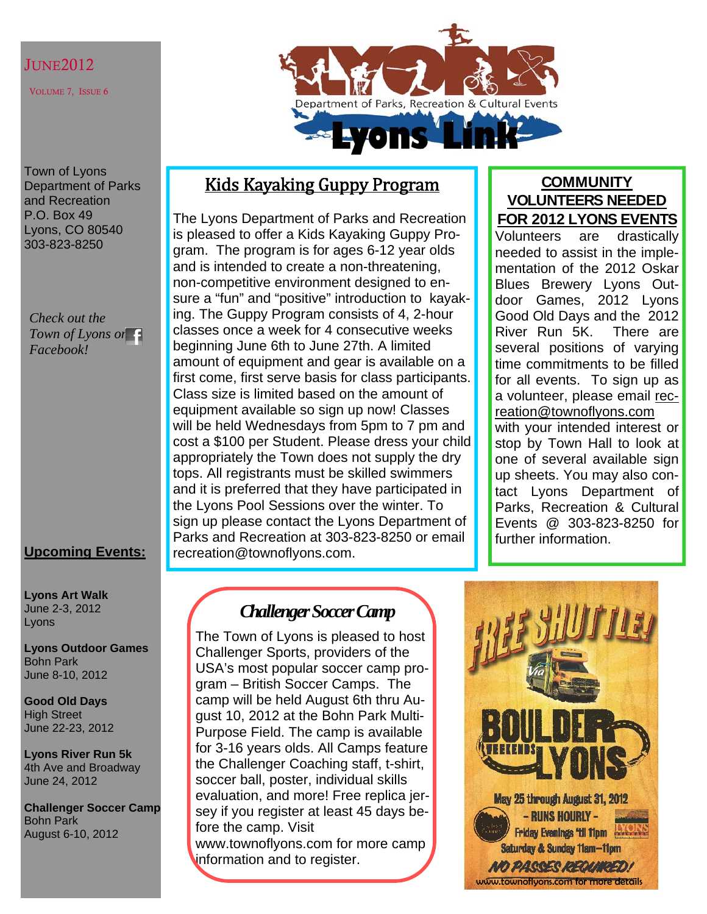## JUNE2012

VOLUME 7, ISSUE 6

Department of Parks, Recreation & Cultural Events

Town of Lyons Department of Parks and Recreation P.O. Box 49 Lyons, CO 80540 303-823-8250

### *Check out the Town of Lyons on Facebook!*

## **Upcoming Events:**

**Lyons Art Walk**  June 2-3, 2012 Lyons

**Lyons Outdoor Games**  Bohn Park June 8-10, 2012

**Good Old Days**  High Street June 22-23, 2012

**Lyons River Run 5k**  4th Ave and Broadway June 24, 2012

**Challenger Soccer Camp**  Bohn Park August 6-10, 2012

## Kids Kayaking Guppy Program

The Lyons Department of Parks and Recreation is pleased to offer a Kids Kayaking Guppy Program. The program is for ages 6-12 year olds and is intended to create a non-threatening, non-competitive environment designed to ensure a "fun" and "positive" introduction to kayaking. The Guppy Program consists of 4, 2-hour classes once a week for 4 consecutive weeks beginning June 6th to June 27th. A limited amount of equipment and gear is available on a first come, first serve basis for class participants. Class size is limited based on the amount of equipment available so sign up now! Classes will be held Wednesdays from 5pm to 7 pm and cost a \$100 per Student. Please dress your child appropriately the Town does not supply the dry tops. All registrants must be skilled swimmers and it is preferred that they have participated in the Lyons Pool Sessions over the winter. To sign up please contact the Lyons Department of Parks and Recreation at 303-823-8250 or email recreation@townoflyons.com.

## **COMMUNITY VOLUNTEERS NEEDED FOR 2012 LYONS EVENTS**

Volunteers are drastically needed to assist in the implementation of the 2012 Oskar Blues Brewery Lyons Outdoor Games, 2012 Lyons Good Old Days and the 2012 River Run 5K. There are several positions of varying time commitments to be filled for all events. To sign up as a volunteer, please email recreation@townoflyons.com with your intended interest or stop by Town Hall to look at one of several available sign up sheets. You may also contact Lyons Department of Parks, Recreation & Cultural Events @ 303-823-8250 for further information.

## *Challenger Soccer Camp*

The Town of Lyons is pleased to host Challenger Sports, providers of the USA's most popular soccer camp program – British Soccer Camps. The camp will be held August 6th thru August 10, 2012 at the Bohn Park Multi-Purpose Field. The camp is available for 3-16 years olds. All Camps feature the Challenger Coaching staff, t-shirt, soccer ball, poster, individual skills evaluation, and more! Free replica jersey if you register at least 45 days before the camp. Visit www.townoflyons.com for more camp information and to register.

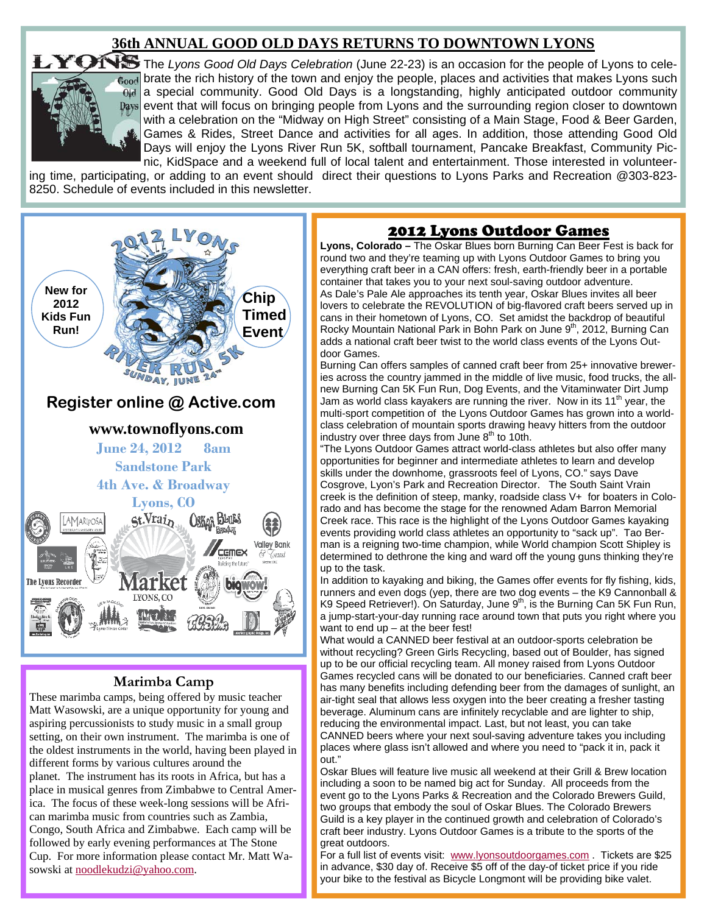## **36th ANNUAL GOOD OLD DAYS RETURNS TO DOWNTOWN LYONS**



TONS The Lyons Good Old Days Celebration (June 22-23) is an occasion for the people of Lyons to celebrate the rich history of the town and enjoy the people, places and activities that makes Lyons such a special community. Good Old Days is a longstanding, highly anticipated outdoor community event that will focus on bringing people from Lyons and the surrounding region closer to downtown with a celebration on the "Midway on High Street" consisting of a Main Stage, Food & Beer Garden, Games & Rides, Street Dance and activities for all ages. In addition, those attending Good Old Days will enjoy the Lyons River Run 5K, softball tournament, Pancake Breakfast, Community Picnic, KidSpace and a weekend full of local talent and entertainment. Those interested in volunteer-

ing time, participating, or adding to an event should direct their questions to Lyons Parks and Recreation @303-823- 8250. Schedule of events included in this newsletter.



### **Marimba Camp**

These marimba camps, being offered by music teacher Matt Wasowski, are a unique opportunity for young and aspiring percussionists to study music in a small group setting, on their own instrument. The marimba is one of the oldest instruments in the world, having been played in different forms by various cultures around the planet. The instrument has its roots in Africa, but has a place in musical genres from Zimbabwe to Central America. The focus of these week-long sessions will be African marimba music from countries such as Zambia, Congo, South Africa and Zimbabwe. Each camp will be followed by early evening performances at The Stone Cup. For more information please contact Mr. Matt Wasowski at noodlekudzi@yahoo.com.

## 2012 Lyons Outdoor Games

**Lyons, Colorado –** The Oskar Blues born Burning Can Beer Fest is back for round two and they're teaming up with Lyons Outdoor Games to bring you everything craft beer in a CAN offers: fresh, earth-friendly beer in a portable container that takes you to your next soul-saving outdoor adventure. As Dale's Pale Ale approaches its tenth year, Oskar Blues invites all beer lovers to celebrate the REVOLUTION of big-flavored craft beers served up in cans in their hometown of Lyons, CO. Set amidst the backdrop of beautiful Rocky Mountain National Park in Bohn Park on June 9<sup>th</sup>, 2012, Burning Can adds a national craft beer twist to the world class events of the Lyons Outdoor Games.

Burning Can offers samples of canned craft beer from 25+ innovative breweries across the country jammed in the middle of live music, food trucks, the allnew Burning Can 5K Fun Run, Dog Events, and the Vitaminwater Dirt Jump Jam as world class kayakers are running the river. Now in its 11<sup>th</sup> year, the multi-sport competition of the Lyons Outdoor Games has grown into a worldclass celebration of mountain sports drawing heavy hitters from the outdoor industry over three days from June  $8<sup>th</sup>$  to 10th.

"The Lyons Outdoor Games attract world-class athletes but also offer many opportunities for beginner and intermediate athletes to learn and develop skills under the downhome, grassroots feel of Lyons, CO." says Dave Cosgrove, Lyon's Park and Recreation Director. The South Saint Vrain creek is the definition of steep, manky, roadside class V+ for boaters in Colorado and has become the stage for the renowned Adam Barron Memorial Creek race. This race is the highlight of the Lyons Outdoor Games kayaking events providing world class athletes an opportunity to "sack up". Tao Berman is a reigning two-time champion, while World champion Scott Shipley is determined to dethrone the king and ward off the young guns thinking they're up to the task.

In addition to kayaking and biking, the Games offer events for fly fishing, kids, runners and even dogs (yep, there are two dog events – the K9 Cannonball & K9 Speed Retriever!). On Saturday, June  $9<sup>th</sup>$ , is the Burning Can 5K Fun Run, a jump-start-your-day running race around town that puts you right where you want to end up – at the beer fest!

What would a CANNED beer festival at an outdoor-sports celebration be without recycling? Green Girls Recycling, based out of Boulder, has signed up to be our official recycling team. All money raised from Lyons Outdoor Games recycled cans will be donated to our beneficiaries. Canned craft beer has many benefits including defending beer from the damages of sunlight, an air-tight seal that allows less oxygen into the beer creating a fresher tasting beverage. Aluminum cans are infinitely recyclable and are lighter to ship, reducing the environmental impact. Last, but not least, you can take CANNED beers where your next soul-saving adventure takes you including places where glass isn't allowed and where you need to "pack it in, pack it out."

Oskar Blues will feature live music all weekend at their Grill & Brew location including a soon to be named big act for Sunday. All proceeds from the event go to the Lyons Parks & Recreation and the Colorado Brewers Guild, two groups that embody the soul of Oskar Blues. The Colorado Brewers Guild is a key player in the continued growth and celebration of Colorado's craft beer industry. Lyons Outdoor Games is a tribute to the sports of the great outdoors.

For a full list of events visit: www.lyonsoutdoorgames.com . Tickets are \$25 in advance, \$30 day of. Receive \$5 off of the day-of ticket price if you ride your bike to the festival as Bicycle Longmont will be providing bike valet.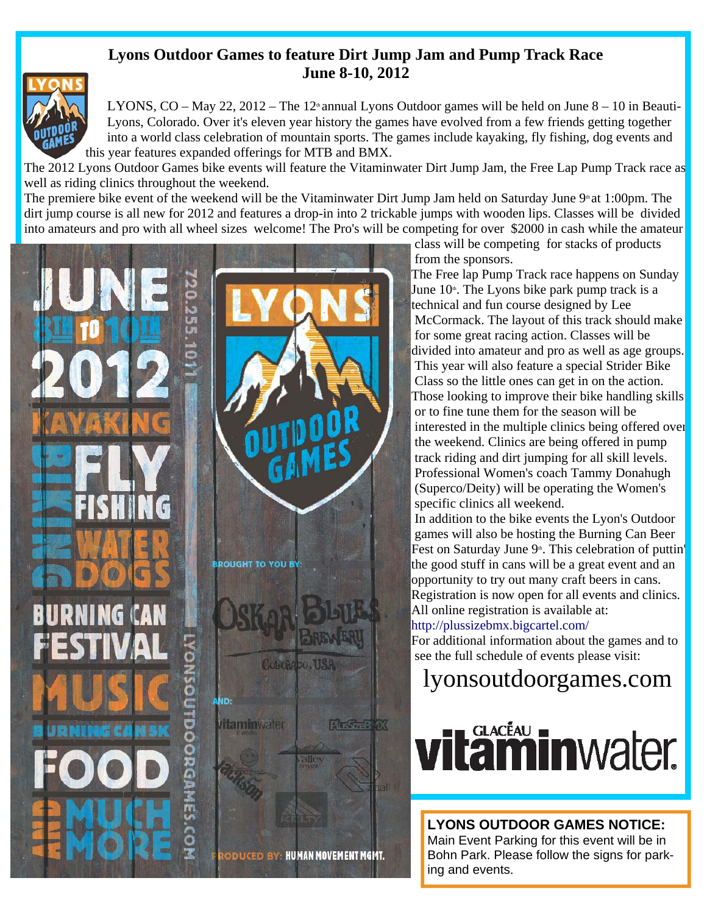## **Lyons Outdoor Games to feature Dirt Jump Jam and Pump Track Race June 8-10, 2012**



LYONS, CO – May 22, 2012 – The 12<sup>th</sup> annual Lyons Outdoor games will be held on June  $8 - 10$  in Beauti-Lyons, Colorado. Over it's eleven year history the games have evolved from a few friends getting together into a world class celebration of mountain sports. The games include kayaking, fly fishing, dog events and this year features expanded offerings for MTB and BMX.

The 2012 Lyons Outdoor Games bike events will feature the Vitaminwater Dirt Jump Jam, the Free Lap Pump Track race as well as riding clinics throughout the weekend.

The premiere bike event of the weekend will be the Vitaminwater Dirt Jump Jam held on Saturday June  $9<sup>th</sup>$  at 1:00pm. The dirt jump course is all new for 2012 and features a drop-in into 2 trickable jumps with wooden lips. Classes will be divided into amateurs and pro with all wheel sizes welcome! The Pro's will be competing for over \$2000 in cash while the amateur



class will be competing for stacks of products

 McCormack. The layout of this track should make divided into amateur and pro as well as age groups. This year will also feature a special Strider Bike Class so the little ones can get in on the action. Those looking to improve their bike handling skills interested in the multiple clinics being offered over the weekend. Clinics are being offered in pump track riding and dirt jumping for all skill levels. Professional Women's coach Tammy Donahugh (Superco/Deity) will be operating the Women's

 In addition to the bike events the Lyon's Outdoor games will also be hosting the Burning Can Beer Fest on Saturday June 9<sup>th</sup>. This celebration of puttin' Registration is now open for all events and clinics.

For additional information about the games and to

ing and events.